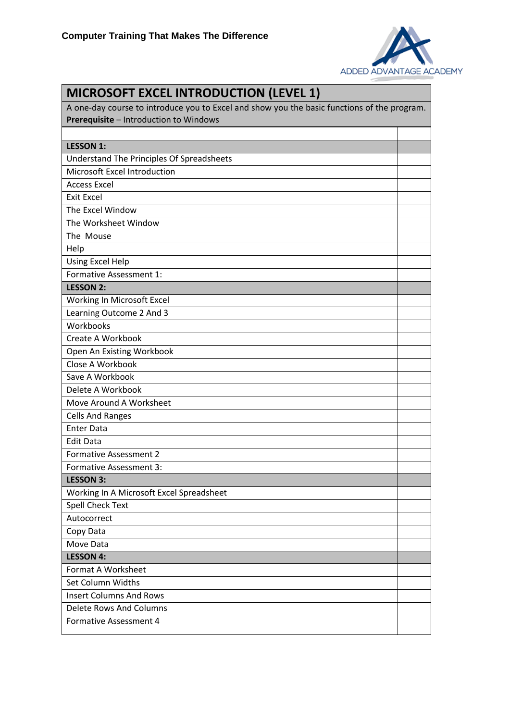

| <b>MICROSOFT EXCEL INTRODUCTION (LEVEL 1)</b>                                               |  |
|---------------------------------------------------------------------------------------------|--|
| A one-day course to introduce you to Excel and show you the basic functions of the program. |  |
| Prerequisite - Introduction to Windows                                                      |  |
|                                                                                             |  |
| <b>LESSON 1:</b>                                                                            |  |
| Understand The Principles Of Spreadsheets                                                   |  |
| Microsoft Excel Introduction                                                                |  |
| <b>Access Excel</b>                                                                         |  |
| <b>Exit Excel</b>                                                                           |  |
| The Excel Window                                                                            |  |
| The Worksheet Window                                                                        |  |
| The Mouse                                                                                   |  |
| Help                                                                                        |  |
| <b>Using Excel Help</b>                                                                     |  |
| Formative Assessment 1:                                                                     |  |
| <b>LESSON 2:</b>                                                                            |  |
| Working In Microsoft Excel                                                                  |  |
| Learning Outcome 2 And 3                                                                    |  |
| Workbooks                                                                                   |  |
| Create A Workbook                                                                           |  |
| Open An Existing Workbook                                                                   |  |
| Close A Workbook                                                                            |  |
| Save A Workbook                                                                             |  |
| Delete A Workbook                                                                           |  |
| Move Around A Worksheet                                                                     |  |
| <b>Cells And Ranges</b>                                                                     |  |
| <b>Enter Data</b>                                                                           |  |
| <b>Edit Data</b>                                                                            |  |
| <b>Formative Assessment 2</b>                                                               |  |
| Formative Assessment 3:                                                                     |  |
| <b>LESSON 3:</b>                                                                            |  |
| Working In A Microsoft Excel Spreadsheet                                                    |  |
| <b>Spell Check Text</b>                                                                     |  |
| Autocorrect                                                                                 |  |
| Copy Data                                                                                   |  |
| Move Data                                                                                   |  |
| <b>LESSON 4:</b>                                                                            |  |
| Format A Worksheet                                                                          |  |
| Set Column Widths                                                                           |  |
| <b>Insert Columns And Rows</b>                                                              |  |
| Delete Rows And Columns                                                                     |  |
| Formative Assessment 4                                                                      |  |
|                                                                                             |  |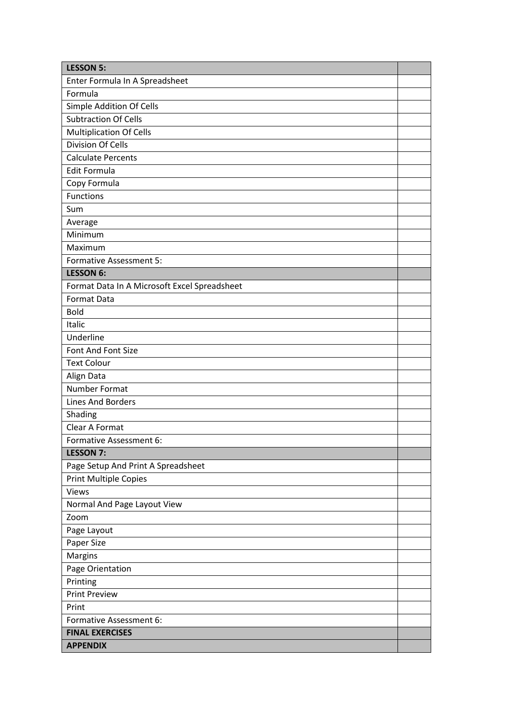| <b>LESSON 5:</b>                             |  |
|----------------------------------------------|--|
| Enter Formula In A Spreadsheet               |  |
| Formula                                      |  |
| Simple Addition Of Cells                     |  |
| <b>Subtraction Of Cells</b>                  |  |
| <b>Multiplication Of Cells</b>               |  |
| Division Of Cells                            |  |
| <b>Calculate Percents</b>                    |  |
| <b>Edit Formula</b>                          |  |
| Copy Formula                                 |  |
| <b>Functions</b>                             |  |
| Sum                                          |  |
| Average                                      |  |
| Minimum                                      |  |
| Maximum                                      |  |
| <b>Formative Assessment 5:</b>               |  |
| <b>LESSON 6:</b>                             |  |
| Format Data In A Microsoft Excel Spreadsheet |  |
| Format Data                                  |  |
| <b>Bold</b>                                  |  |
| Italic                                       |  |
| Underline                                    |  |
| Font And Font Size                           |  |
| <b>Text Colour</b>                           |  |
| Align Data                                   |  |
| Number Format                                |  |
| Lines And Borders                            |  |
| Shading                                      |  |
| Clear A Format                               |  |
| Formative Assessment 6:                      |  |
| <b>LESSON 7:</b>                             |  |
| Page Setup And Print A Spreadsheet           |  |
| <b>Print Multiple Copies</b>                 |  |
| <b>Views</b>                                 |  |
| Normal And Page Layout View                  |  |
| Zoom                                         |  |
| Page Layout                                  |  |
| Paper Size                                   |  |
| Margins                                      |  |
| Page Orientation                             |  |
| Printing                                     |  |
| <b>Print Preview</b>                         |  |
| Print                                        |  |
| Formative Assessment 6:                      |  |
| <b>FINAL EXERCISES</b>                       |  |
| <b>APPENDIX</b>                              |  |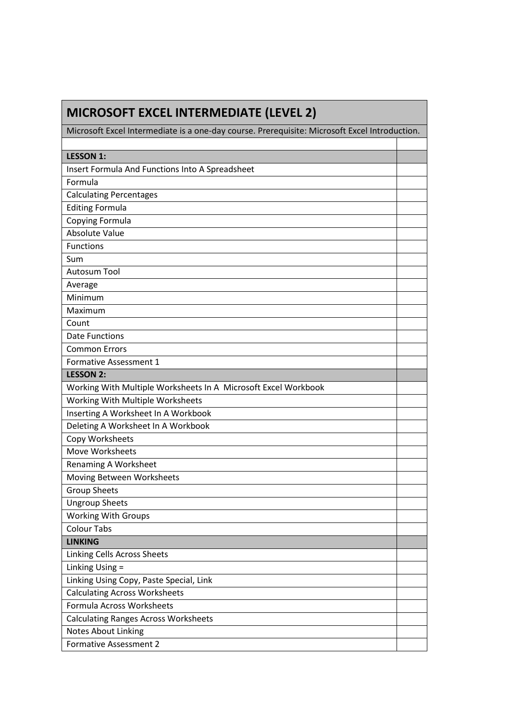| <b>MICROSOFT EXCEL INTERMEDIATE (LEVEL 2)</b>                                                 |  |
|-----------------------------------------------------------------------------------------------|--|
| Microsoft Excel Intermediate is a one-day course. Prerequisite: Microsoft Excel Introduction. |  |
|                                                                                               |  |
| <b>LESSON 1:</b>                                                                              |  |
| Insert Formula And Functions Into A Spreadsheet                                               |  |
| Formula                                                                                       |  |
| <b>Calculating Percentages</b>                                                                |  |
| <b>Editing Formula</b>                                                                        |  |
| Copying Formula                                                                               |  |
| Absolute Value                                                                                |  |
| <b>Functions</b>                                                                              |  |
| Sum                                                                                           |  |
| <b>Autosum Tool</b>                                                                           |  |
| Average                                                                                       |  |
| Minimum                                                                                       |  |
| Maximum                                                                                       |  |
| Count                                                                                         |  |
| <b>Date Functions</b>                                                                         |  |
| <b>Common Errors</b>                                                                          |  |
| Formative Assessment 1                                                                        |  |
| <b>LESSON 2:</b>                                                                              |  |
| Working With Multiple Worksheets In A Microsoft Excel Workbook                                |  |
| Working With Multiple Worksheets                                                              |  |
| Inserting A Worksheet In A Workbook                                                           |  |
| Deleting A Worksheet In A Workbook                                                            |  |
| Copy Worksheets                                                                               |  |
| Move Worksheets                                                                               |  |
| <b>Renaming A Worksheet</b>                                                                   |  |
| Moving Between Worksheets                                                                     |  |
| <b>Group Sheets</b>                                                                           |  |
| <b>Ungroup Sheets</b>                                                                         |  |
| <b>Working With Groups</b>                                                                    |  |
| <b>Colour Tabs</b>                                                                            |  |
| <b>LINKING</b>                                                                                |  |
| Linking Cells Across Sheets                                                                   |  |
| Linking Using =                                                                               |  |
| Linking Using Copy, Paste Special, Link                                                       |  |
| <b>Calculating Across Worksheets</b>                                                          |  |
| Formula Across Worksheets                                                                     |  |
| <b>Calculating Ranges Across Worksheets</b>                                                   |  |
| Notes About Linking                                                                           |  |
| <b>Formative Assessment 2</b>                                                                 |  |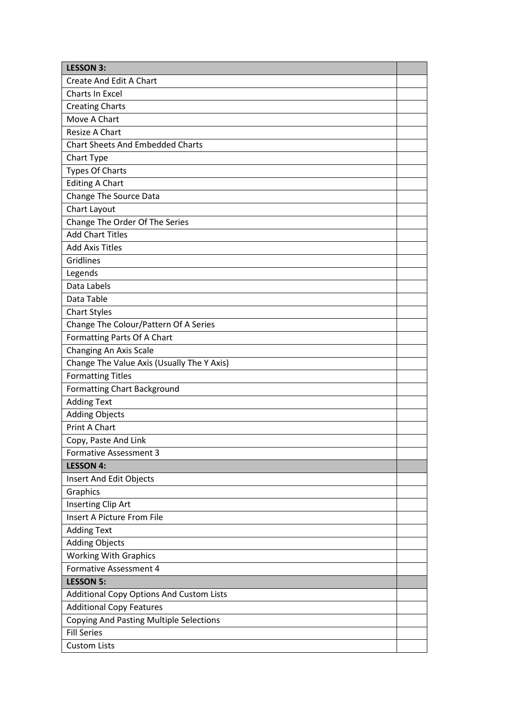| <b>LESSON 3:</b>                               |  |
|------------------------------------------------|--|
| Create And Edit A Chart                        |  |
| Charts In Excel                                |  |
| <b>Creating Charts</b>                         |  |
| Move A Chart                                   |  |
| Resize A Chart                                 |  |
| <b>Chart Sheets And Embedded Charts</b>        |  |
| Chart Type                                     |  |
| <b>Types Of Charts</b>                         |  |
| <b>Editing A Chart</b>                         |  |
| Change The Source Data                         |  |
| Chart Layout                                   |  |
| Change The Order Of The Series                 |  |
| <b>Add Chart Titles</b>                        |  |
| <b>Add Axis Titles</b>                         |  |
| Gridlines                                      |  |
| Legends                                        |  |
| Data Labels                                    |  |
| Data Table                                     |  |
| <b>Chart Styles</b>                            |  |
| Change The Colour/Pattern Of A Series          |  |
| Formatting Parts Of A Chart                    |  |
| Changing An Axis Scale                         |  |
| Change The Value Axis (Usually The Y Axis)     |  |
| <b>Formatting Titles</b>                       |  |
| <b>Formatting Chart Background</b>             |  |
| <b>Adding Text</b>                             |  |
| <b>Adding Objects</b>                          |  |
| <b>Print A Chart</b>                           |  |
| Copy, Paste And Link                           |  |
| <b>Formative Assessment 3</b>                  |  |
| <b>LESSON 4:</b>                               |  |
| Insert And Edit Objects                        |  |
| Graphics                                       |  |
| Inserting Clip Art                             |  |
| Insert A Picture From File                     |  |
| <b>Adding Text</b>                             |  |
| <b>Adding Objects</b>                          |  |
| <b>Working With Graphics</b>                   |  |
| Formative Assessment 4                         |  |
| <b>LESSON 5:</b>                               |  |
| Additional Copy Options And Custom Lists       |  |
| <b>Additional Copy Features</b>                |  |
| <b>Copying And Pasting Multiple Selections</b> |  |
| <b>Fill Series</b>                             |  |
| <b>Custom Lists</b>                            |  |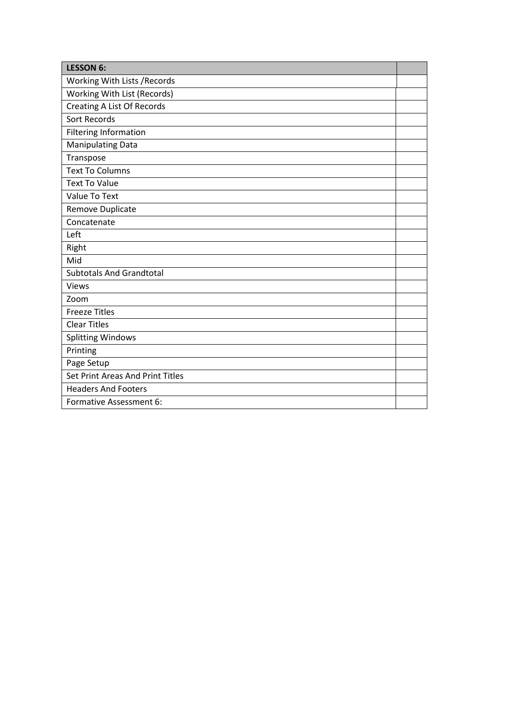| <b>LESSON 6:</b>                  |  |
|-----------------------------------|--|
| Working With Lists / Records      |  |
| Working With List (Records)       |  |
| <b>Creating A List Of Records</b> |  |
| <b>Sort Records</b>               |  |
| <b>Filtering Information</b>      |  |
| <b>Manipulating Data</b>          |  |
| Transpose                         |  |
| <b>Text To Columns</b>            |  |
| <b>Text To Value</b>              |  |
| Value To Text                     |  |
| Remove Duplicate                  |  |
| Concatenate                       |  |
| Left                              |  |
| Right                             |  |
| Mid                               |  |
| <b>Subtotals And Grandtotal</b>   |  |
| <b>Views</b>                      |  |
| Zoom                              |  |
| <b>Freeze Titles</b>              |  |
| <b>Clear Titles</b>               |  |
| <b>Splitting Windows</b>          |  |
| Printing                          |  |
| Page Setup                        |  |
| Set Print Areas And Print Titles  |  |
| <b>Headers And Footers</b>        |  |
| Formative Assessment 6:           |  |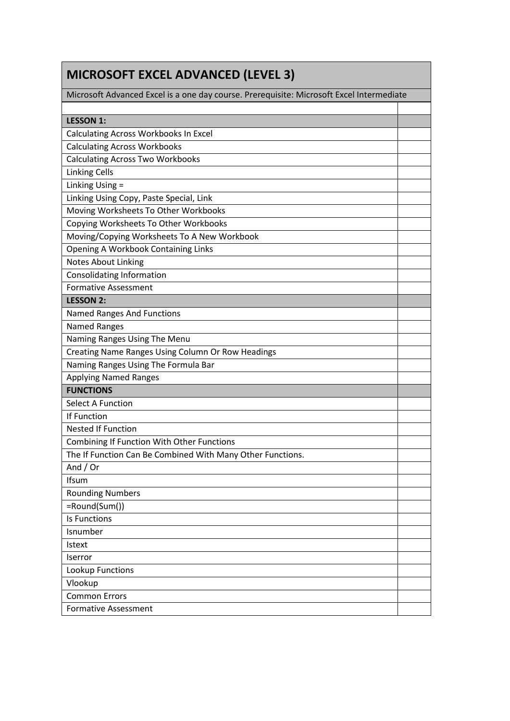| <b>MICROSOFT EXCEL ADVANCED (LEVEL 3)</b>                                                |  |
|------------------------------------------------------------------------------------------|--|
| Microsoft Advanced Excel is a one day course. Prerequisite: Microsoft Excel Intermediate |  |
|                                                                                          |  |
| <b>LESSON 1:</b>                                                                         |  |
| Calculating Across Workbooks In Excel                                                    |  |
| <b>Calculating Across Workbooks</b>                                                      |  |
| <b>Calculating Across Two Workbooks</b>                                                  |  |
| <b>Linking Cells</b>                                                                     |  |
| Linking Using =                                                                          |  |
| Linking Using Copy, Paste Special, Link                                                  |  |
| Moving Worksheets To Other Workbooks                                                     |  |
| Copying Worksheets To Other Workbooks                                                    |  |
| Moving/Copying Worksheets To A New Workbook                                              |  |
| <b>Opening A Workbook Containing Links</b>                                               |  |
| <b>Notes About Linking</b>                                                               |  |
| <b>Consolidating Information</b>                                                         |  |
| <b>Formative Assessment</b>                                                              |  |
| <b>LESSON 2:</b>                                                                         |  |
| <b>Named Ranges And Functions</b>                                                        |  |
| <b>Named Ranges</b>                                                                      |  |
| Naming Ranges Using The Menu                                                             |  |
| Creating Name Ranges Using Column Or Row Headings                                        |  |
| Naming Ranges Using The Formula Bar                                                      |  |
| <b>Applying Named Ranges</b>                                                             |  |
| <b>FUNCTIONS</b>                                                                         |  |
| <b>Select A Function</b>                                                                 |  |
| If Function                                                                              |  |
| <b>Nested If Function</b>                                                                |  |
| <b>Combining If Function With Other Functions</b>                                        |  |
| The If Function Can Be Combined With Many Other Functions.                               |  |
| And $/$ Or                                                                               |  |
| Ifsum                                                                                    |  |
| <b>Rounding Numbers</b>                                                                  |  |
| =Round(Sum())                                                                            |  |
| <b>Is Functions</b>                                                                      |  |
| Isnumber                                                                                 |  |
| <b>Istext</b>                                                                            |  |
| Iserror                                                                                  |  |
| Lookup Functions                                                                         |  |
| Vlookup                                                                                  |  |
| <b>Common Errors</b>                                                                     |  |
| <b>Formative Assessment</b>                                                              |  |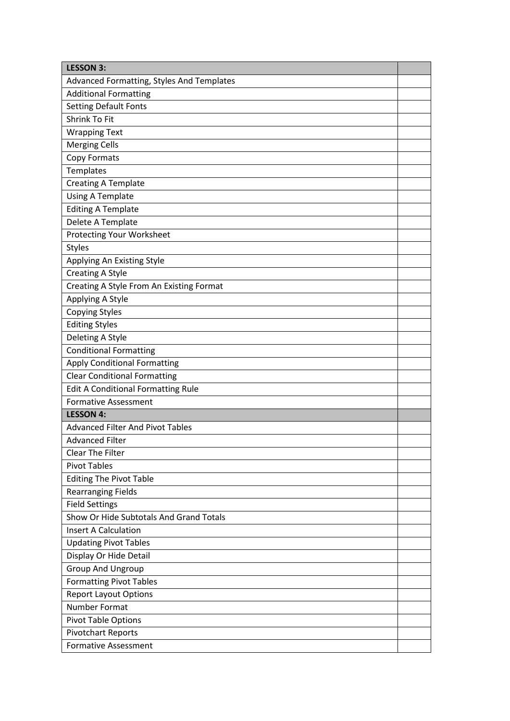| <b>LESSON 3:</b>                          |  |
|-------------------------------------------|--|
| Advanced Formatting, Styles And Templates |  |
| <b>Additional Formatting</b>              |  |
| <b>Setting Default Fonts</b>              |  |
| Shrink To Fit                             |  |
| <b>Wrapping Text</b>                      |  |
| <b>Merging Cells</b>                      |  |
| Copy Formats                              |  |
| Templates                                 |  |
| <b>Creating A Template</b>                |  |
| <b>Using A Template</b>                   |  |
| <b>Editing A Template</b>                 |  |
| Delete A Template                         |  |
| <b>Protecting Your Worksheet</b>          |  |
| <b>Styles</b>                             |  |
| Applying An Existing Style                |  |
| <b>Creating A Style</b>                   |  |
| Creating A Style From An Existing Format  |  |
| Applying A Style                          |  |
| <b>Copying Styles</b>                     |  |
| <b>Editing Styles</b>                     |  |
| Deleting A Style                          |  |
| <b>Conditional Formatting</b>             |  |
| <b>Apply Conditional Formatting</b>       |  |
| <b>Clear Conditional Formatting</b>       |  |
| <b>Edit A Conditional Formatting Rule</b> |  |
| <b>Formative Assessment</b>               |  |
| <b>LESSON 4:</b>                          |  |
| <b>Advanced Filter And Pivot Tables</b>   |  |
| <b>Advanced Filter</b>                    |  |
| <b>Clear The Filter</b>                   |  |
| <b>Pivot Tables</b>                       |  |
| <b>Editing The Pivot Table</b>            |  |
| <b>Rearranging Fields</b>                 |  |
| <b>Field Settings</b>                     |  |
| Show Or Hide Subtotals And Grand Totals   |  |
| <b>Insert A Calculation</b>               |  |
| <b>Updating Pivot Tables</b>              |  |
| Display Or Hide Detail                    |  |
| <b>Group And Ungroup</b>                  |  |
| <b>Formatting Pivot Tables</b>            |  |
| <b>Report Layout Options</b>              |  |
| Number Format                             |  |
| <b>Pivot Table Options</b>                |  |
| <b>Pivotchart Reports</b>                 |  |
| <b>Formative Assessment</b>               |  |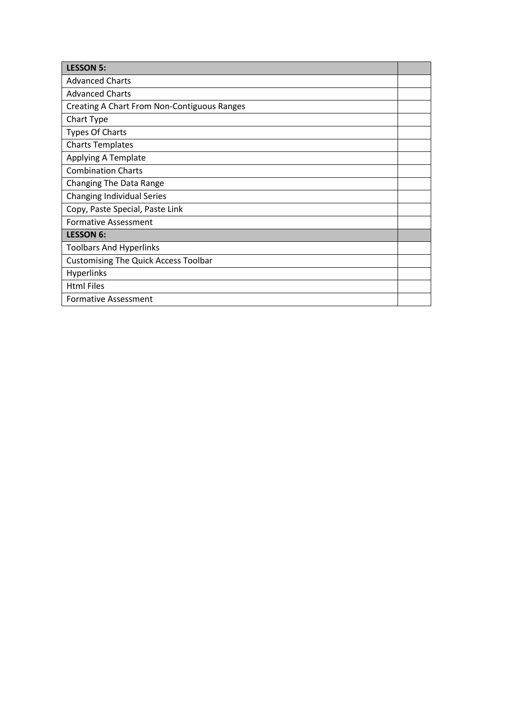| <b>LESSON 5:</b>                            |  |
|---------------------------------------------|--|
| <b>Advanced Charts</b>                      |  |
| <b>Advanced Charts</b>                      |  |
| Creating A Chart From Non-Contiguous Ranges |  |
| Chart Type                                  |  |
| <b>Types Of Charts</b>                      |  |
| <b>Charts Templates</b>                     |  |
| Applying A Template                         |  |
| <b>Combination Charts</b>                   |  |
| Changing The Data Range                     |  |
| <b>Changing Individual Series</b>           |  |
| Copy, Paste Special, Paste Link             |  |
| <b>Formative Assessment</b>                 |  |
| <b>LESSON 6:</b>                            |  |
| <b>Toolbars And Hyperlinks</b>              |  |
| <b>Customising The Quick Access Toolbar</b> |  |
| <b>Hyperlinks</b>                           |  |
| <b>Html Files</b>                           |  |
| <b>Formative Assessment</b>                 |  |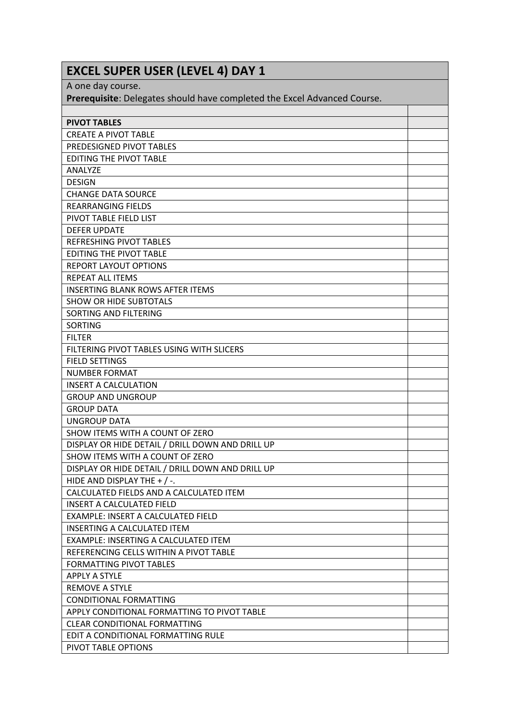| <b>EXCEL SUPER USER (LEVEL 4) DAY 1</b>                                  |  |
|--------------------------------------------------------------------------|--|
| A one day course.                                                        |  |
| Prerequisite: Delegates should have completed the Excel Advanced Course. |  |
|                                                                          |  |
| <b>PIVOT TABLES</b>                                                      |  |
| <b>CREATE A PIVOT TABLE</b>                                              |  |
| PREDESIGNED PIVOT TABLES                                                 |  |
| <b>EDITING THE PIVOT TABLE</b>                                           |  |
| <b>ANALYZE</b>                                                           |  |
| <b>DESIGN</b>                                                            |  |
| <b>CHANGE DATA SOURCE</b>                                                |  |
| <b>REARRANGING FIELDS</b>                                                |  |
| PIVOT TABLE FIELD LIST                                                   |  |
| <b>DEFER UPDATE</b>                                                      |  |
| <b>REFRESHING PIVOT TABLES</b>                                           |  |
| <b>EDITING THE PIVOT TABLE</b>                                           |  |
| <b>REPORT LAYOUT OPTIONS</b>                                             |  |
| <b>REPEAT ALL ITEMS</b>                                                  |  |
| <b>INSERTING BLANK ROWS AFTER ITEMS</b>                                  |  |
| <b>SHOW OR HIDE SUBTOTALS</b>                                            |  |
| SORTING AND FILTERING                                                    |  |
| <b>SORTING</b>                                                           |  |
| <b>FILTER</b>                                                            |  |
| FILTERING PIVOT TABLES USING WITH SLICERS                                |  |
| <b>FIELD SETTINGS</b>                                                    |  |
| <b>NUMBER FORMAT</b>                                                     |  |
| <b>INSERT A CALCULATION</b>                                              |  |
| <b>GROUP AND UNGROUP</b>                                                 |  |
| <b>GROUP DATA</b>                                                        |  |
| <b>UNGROUP DATA</b>                                                      |  |
| SHOW ITEMS WITH A COUNT OF ZERO                                          |  |
| DISPLAY OR HIDE DETAIL / DRILL DOWN AND DRILL UP                         |  |
| SHOW ITEMS WITH A COUNT OF ZERO                                          |  |
| DISPLAY OR HIDE DETAIL / DRILL DOWN AND DRILL UP                         |  |
| HIDE AND DISPLAY THE $+$ / -.                                            |  |
| CALCULATED FIELDS AND A CALCULATED ITEM                                  |  |
| <b>INSERT A CALCULATED FIELD</b>                                         |  |
| EXAMPLE: INSERT A CALCULATED FIELD                                       |  |
| <b>INSERTING A CALCULATED ITEM</b>                                       |  |
| EXAMPLE: INSERTING A CALCULATED ITEM                                     |  |
| REFERENCING CELLS WITHIN A PIVOT TABLE                                   |  |
| <b>FORMATTING PIVOT TABLES</b>                                           |  |
| <b>APPLY A STYLE</b>                                                     |  |
| <b>REMOVE A STYLE</b>                                                    |  |
| CONDITIONAL FORMATTING                                                   |  |
| APPLY CONDITIONAL FORMATTING TO PIVOT TABLE                              |  |
| <b>CLEAR CONDITIONAL FORMATTING</b>                                      |  |
| EDIT A CONDITIONAL FORMATTING RULE                                       |  |
| PIVOT TABLE OPTIONS                                                      |  |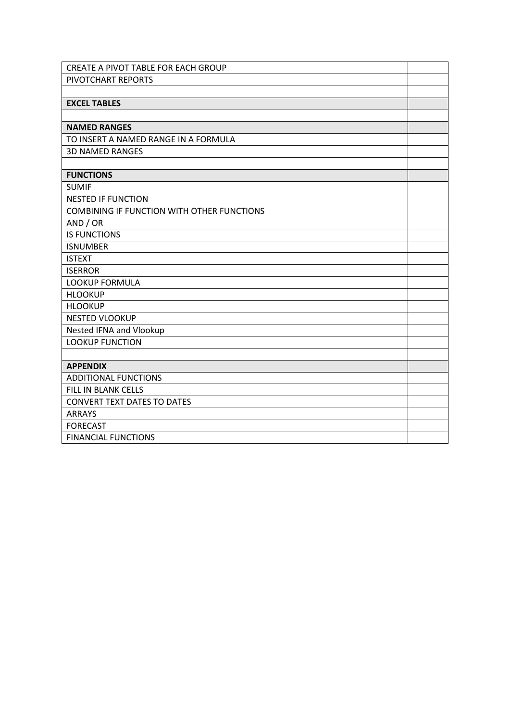| CREATE A PIVOT TABLE FOR EACH GROUP               |  |
|---------------------------------------------------|--|
| PIVOTCHART REPORTS                                |  |
|                                                   |  |
| <b>EXCEL TABLES</b>                               |  |
|                                                   |  |
| <b>NAMED RANGES</b>                               |  |
| TO INSERT A NAMED RANGE IN A FORMULA              |  |
| <b>3D NAMED RANGES</b>                            |  |
|                                                   |  |
| <b>FUNCTIONS</b>                                  |  |
| <b>SUMIF</b>                                      |  |
| <b>NESTED IF FUNCTION</b>                         |  |
| <b>COMBINING IF FUNCTION WITH OTHER FUNCTIONS</b> |  |
| AND / OR                                          |  |
| <b>IS FUNCTIONS</b>                               |  |
| <b>ISNUMBER</b>                                   |  |
| <b>ISTEXT</b>                                     |  |
| <b>ISERROR</b>                                    |  |
| LOOKUP FORMULA                                    |  |
| <b>HLOOKUP</b>                                    |  |
| <b>HLOOKUP</b>                                    |  |
| <b>NESTED VLOOKUP</b>                             |  |
| Nested IFNA and Vlookup                           |  |
| <b>LOOKUP FUNCTION</b>                            |  |
|                                                   |  |
| <b>APPENDIX</b>                                   |  |
| <b>ADDITIONAL FUNCTIONS</b>                       |  |
| FILL IN BLANK CELLS                               |  |
| <b>CONVERT TEXT DATES TO DATES</b>                |  |
| <b>ARRAYS</b>                                     |  |
| <b>FORECAST</b>                                   |  |
| <b>FINANCIAL FUNCTIONS</b>                        |  |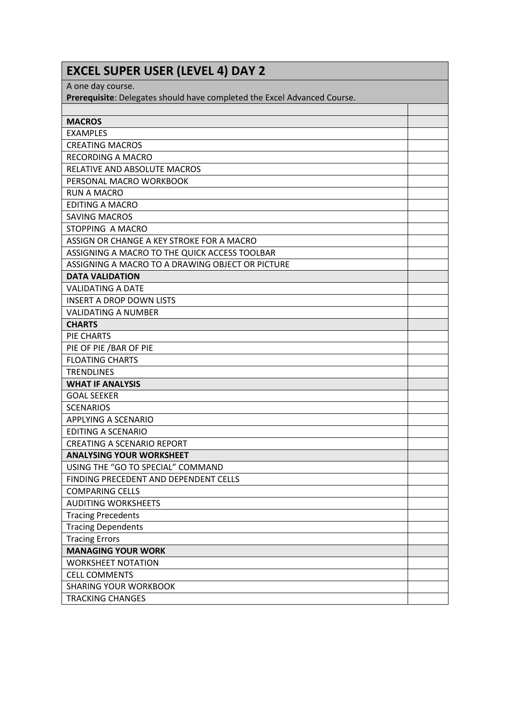| <b>EXCEL SUPER USER (LEVEL 4) DAY 2</b>                                  |  |
|--------------------------------------------------------------------------|--|
| A one day course.                                                        |  |
| Prerequisite: Delegates should have completed the Excel Advanced Course. |  |
|                                                                          |  |
| <b>MACROS</b>                                                            |  |
| <b>EXAMPLES</b>                                                          |  |
| <b>CREATING MACROS</b>                                                   |  |
| <b>RECORDING A MACRO</b>                                                 |  |
| RELATIVE AND ABSOLUTE MACROS                                             |  |
| PERSONAL MACRO WORKBOOK                                                  |  |
| <b>RUN A MACRO</b>                                                       |  |
| <b>EDITING A MACRO</b>                                                   |  |
| <b>SAVING MACROS</b>                                                     |  |
| STOPPING A MACRO                                                         |  |
| ASSIGN OR CHANGE A KEY STROKE FOR A MACRO                                |  |
| ASSIGNING A MACRO TO THE QUICK ACCESS TOOLBAR                            |  |
| ASSIGNING A MACRO TO A DRAWING OBJECT OR PICTURE                         |  |
| <b>DATA VALIDATION</b>                                                   |  |
| <b>VALIDATING A DATE</b>                                                 |  |
| <b>INSERT A DROP DOWN LISTS</b>                                          |  |
| <b>VALIDATING A NUMBER</b>                                               |  |
| <b>CHARTS</b>                                                            |  |
| PIE CHARTS                                                               |  |
| PIE OF PIE / BAR OF PIE                                                  |  |
| <b>FLOATING CHARTS</b>                                                   |  |
| <b>TRENDLINES</b>                                                        |  |
| <b>WHAT IF ANALYSIS</b>                                                  |  |
| <b>GOAL SEEKER</b>                                                       |  |
| <b>SCENARIOS</b>                                                         |  |
| <b>APPLYING A SCENARIO</b>                                               |  |
| <b>EDITING A SCENARIO</b>                                                |  |
| CREATING A SCENARIO REPORT                                               |  |
| <b>ANALYSING YOUR WORKSHEET</b>                                          |  |
| USING THE "GO TO SPECIAL" COMMAND                                        |  |
| FINDING PRECEDENT AND DEPENDENT CELLS                                    |  |
| <b>COMPARING CELLS</b>                                                   |  |
| <b>AUDITING WORKSHEETS</b>                                               |  |
| <b>Tracing Precedents</b>                                                |  |
| <b>Tracing Dependents</b>                                                |  |
| <b>Tracing Errors</b>                                                    |  |
| <b>MANAGING YOUR WORK</b>                                                |  |
| <b>WORKSHEET NOTATION</b>                                                |  |
| <b>CELL COMMENTS</b>                                                     |  |
| <b>SHARING YOUR WORKBOOK</b>                                             |  |
| <b>TRACKING CHANGES</b>                                                  |  |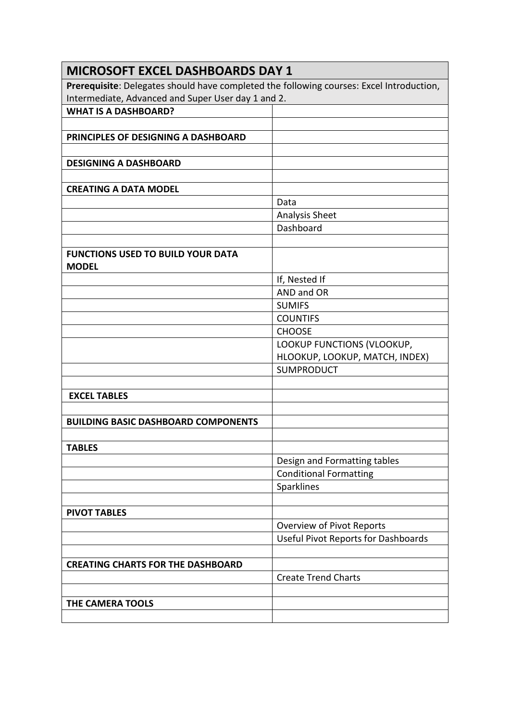| <b>MICROSOFT EXCEL DASHBOARDS DAY 1</b>                                                  |                                                                         |
|------------------------------------------------------------------------------------------|-------------------------------------------------------------------------|
| Prerequisite: Delegates should have completed the following courses: Excel Introduction, |                                                                         |
| Intermediate, Advanced and Super User day 1 and 2.                                       |                                                                         |
| <b>WHAT IS A DASHBOARD?</b>                                                              |                                                                         |
|                                                                                          |                                                                         |
| PRINCIPLES OF DESIGNING A DASHBOARD                                                      |                                                                         |
| <b>DESIGNING A DASHBOARD</b>                                                             |                                                                         |
|                                                                                          |                                                                         |
| <b>CREATING A DATA MODEL</b>                                                             |                                                                         |
|                                                                                          | Data                                                                    |
|                                                                                          | Analysis Sheet                                                          |
|                                                                                          | Dashboard                                                               |
|                                                                                          |                                                                         |
| <b>FUNCTIONS USED TO BUILD YOUR DATA</b><br><b>MODEL</b>                                 |                                                                         |
|                                                                                          | If, Nested If                                                           |
|                                                                                          | AND and OR                                                              |
|                                                                                          | <b>SUMIFS</b>                                                           |
|                                                                                          | <b>COUNTIFS</b>                                                         |
|                                                                                          | <b>CHOOSE</b>                                                           |
|                                                                                          | LOOKUP FUNCTIONS (VLOOKUP,                                              |
|                                                                                          | HLOOKUP, LOOKUP, MATCH, INDEX)                                          |
|                                                                                          | <b>SUMPRODUCT</b>                                                       |
|                                                                                          |                                                                         |
| <b>EXCEL TABLES</b>                                                                      |                                                                         |
|                                                                                          |                                                                         |
| <b>BUILDING BASIC DASHBOARD COMPONENTS</b>                                               |                                                                         |
|                                                                                          |                                                                         |
| <b>TABLES</b>                                                                            |                                                                         |
|                                                                                          | Design and Formatting tables                                            |
|                                                                                          | <b>Conditional Formatting</b>                                           |
|                                                                                          | Sparklines                                                              |
|                                                                                          |                                                                         |
| <b>PIVOT TABLES</b>                                                                      |                                                                         |
|                                                                                          | Overview of Pivot Reports<br><b>Useful Pivot Reports for Dashboards</b> |
|                                                                                          |                                                                         |
| <b>CREATING CHARTS FOR THE DASHBOARD</b>                                                 |                                                                         |
|                                                                                          | <b>Create Trend Charts</b>                                              |
|                                                                                          |                                                                         |
| THE CAMERA TOOLS                                                                         |                                                                         |
|                                                                                          |                                                                         |